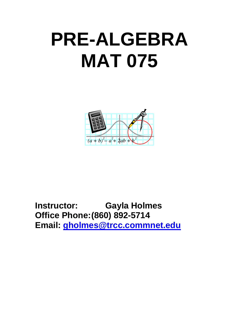## **PRE-ALGEBRA MAT 075**



**Instructor: Gayla Holmes Office Phone:(860) 892-5714 Email: [gholmes@trcc.commnet.edu](mailto:gholmes@trcc.commnet.edu)**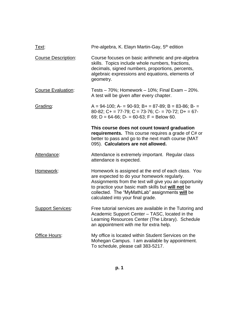| <u>Text:</u>               | Pre-algebra, K. Elayn Martin-Gay, 5 <sup>th</sup> edition                                                                                                                                                                                                                                                |
|----------------------------|----------------------------------------------------------------------------------------------------------------------------------------------------------------------------------------------------------------------------------------------------------------------------------------------------------|
| <b>Course Description:</b> | Course focuses on basic arithmetic and pre-algebra<br>skills. Topics include whole numbers, fractions,<br>decimals, signed numbers, proportions, percents,<br>algebraic expressions and equations, elements of<br>geometry.                                                                              |
| Course Evaluation:         | Tests $-70\%$ ; Homework $-10\%$ ; Final Exam $-20\%$ .<br>A test will be given after every chapter.                                                                                                                                                                                                     |
| Grading:                   | $A = 94-100$ ; $A = 90-93$ ; $B = 87-89$ ; $B = 83-86$ ; $B = 83-86$<br>80-82; C+ = 77-79; C = 73-76; C- = 70-72; D+ = 67-<br>69; D = 64-66; D- = 60-63; F = Below 60.                                                                                                                                   |
|                            | This course does not count toward graduation<br>requirements. This course requires a grade of C# or<br>better to pass and go to the next math course (MAT<br>095). Calculators are not allowed.                                                                                                          |
| Attendance:                | Attendance is extremely important. Regular class<br>attendance is expected.                                                                                                                                                                                                                              |
| Homework:                  | Homework is assigned at the end of each class. You<br>are expected to do your homework regularly.<br>Assignments from the text will give you an opportunity<br>to practice your basic math skills but will not be<br>collected. The "MyMathLab" assignments will be<br>calculated into your final grade. |
| <b>Support Services:</b>   | Free tutorial services are available in the Tutoring and<br>Academic Support Center – TASC, located in the<br>Learning Resources Center (The Library). Schedule<br>an appointment with me for extra help.                                                                                                |
| Office Hours:              | My office is located within Student Services on the<br>Mohegan Campus. I am available by appointment.<br>To schedule, please call 383-5217.                                                                                                                                                              |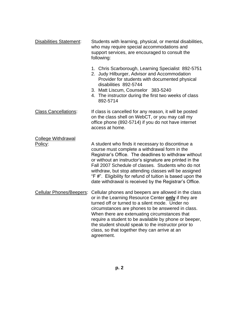| <b>Disabilities Statement:</b>       | Students with learning, physical, or mental disabilities,<br>who may require special accommodations and<br>support services, are encouraged to consult the<br>following:                                                                                                                                                                                                                                                                                      |  |
|--------------------------------------|---------------------------------------------------------------------------------------------------------------------------------------------------------------------------------------------------------------------------------------------------------------------------------------------------------------------------------------------------------------------------------------------------------------------------------------------------------------|--|
|                                      | 1. Chris Scarborough, Learning Specialist 892-5751<br>2. Judy Hilburger, Advisor and Accommodation<br>Provider for students with documented physical<br>disabilities 892-5744<br>3. Matt Liscum, Counselor 383-5240<br>4. The instructor during the first two weeks of class<br>892-5714                                                                                                                                                                      |  |
| <b>Class Cancellations:</b>          | If class is cancelled for any reason, it will be posted<br>on the class shell on WebCT, or you may call my<br>office phone (892-5714) if you do not have internet<br>access at home.                                                                                                                                                                                                                                                                          |  |
| <b>College Withdrawal</b><br>Policy: | A student who finds it necessary to discontinue a<br>course must complete a withdrawal form in the<br>Registrar's Office. The deadlines to withdraw without<br>or without an instructor's signature are printed in the<br>Fall 2007 Schedule of classes. Students who do not<br>withdraw, but stop attending classes will be assigned<br>"F #". Eligibility for refund of tuition is based upon the<br>date withdrawal is received by the Registrar's Office. |  |
| <b>Cellular Phones/Beepers:</b>      | Cellular phones and beepers are allowed in the class<br>or in the Learning Resource Center only if they are<br>turned off or turned to a silent mode. Under no<br>circumstances are phones to be answered in class.<br>When there are extenuating circumstances that<br>require a student to be available by phone or beeper,<br>the student should speak to the instructor prior to<br>class, so that together they can arrive at an<br>agreement.           |  |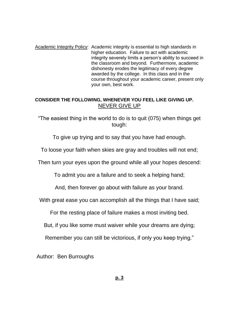Academic Integrity Policy: Academic integrity is essential to high standards in higher education. Failure to act with academic integrity severely limits a person's ability to succeed in the classroom and beyond. Furthermore, academic dishonesty erodes the legitimacy of every degree awarded by the college. In this class and in the course throughout your academic career, present only your own, best work.

## **CONSIDER THE FOLLOWING, WHENEVER YOU FEEL LIKE GIVING UP.** NEVER GIVE UP

"The easiest thing in the world to do is to quit (075) when things get tough:

To give up trying and to say that you have had enough.

To loose your faith when skies are gray and troubles will not end;

Then turn your eyes upon the ground while all your hopes descend:

To admit you are a failure and to seek a helping hand;

And, then forever go about with failure as your brand.

With great ease you can accomplish all the things that I have said;

For the resting place of failure makes a most inviting bed.

But, if you like some must waiver while your dreams are dying;

Remember you can still be victorious, if only you keep trying."

Author: Ben Burroughs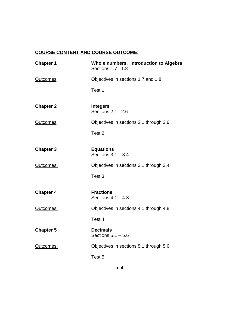## **COURSE CONTENT AND COURSE OUTCOME:**

| <b>Chapter 1</b> | Whole numbers. Introduction to Algebra<br>Sections 1.7 - 1.8 |
|------------------|--------------------------------------------------------------|
| <b>Outcomes</b>  | Objectives in sections 1.7 and 1.8                           |
|                  | Test 1                                                       |
| <b>Chapter 2</b> | <b>Integers</b><br>Sections 2.1 - 2.6                        |
| <b>Outcomes</b>  | Objectives in sections 2.1 through 2.6                       |
|                  | Test <sub>2</sub>                                            |
| <b>Chapter 3</b> | <b>Equations</b><br>Sections $3.1 - 3.4$                     |
| Outcomes:        | Objectives in sections 3.1 through 3.4                       |
|                  | Test 3                                                       |
| <b>Chapter 4</b> | <b>Fractions</b><br>Sections $4.1 - 4.8$                     |
| Outcomes:        | Objectives in sections 4.1 through 4.8                       |
|                  | Test 4                                                       |
| <b>Chapter 5</b> | <b>Decimals</b><br>Sections $5.1 - 5.6$                      |
| Outcomes:        | Objectives in sections 5.1 through 5.6                       |
|                  | Test 5                                                       |